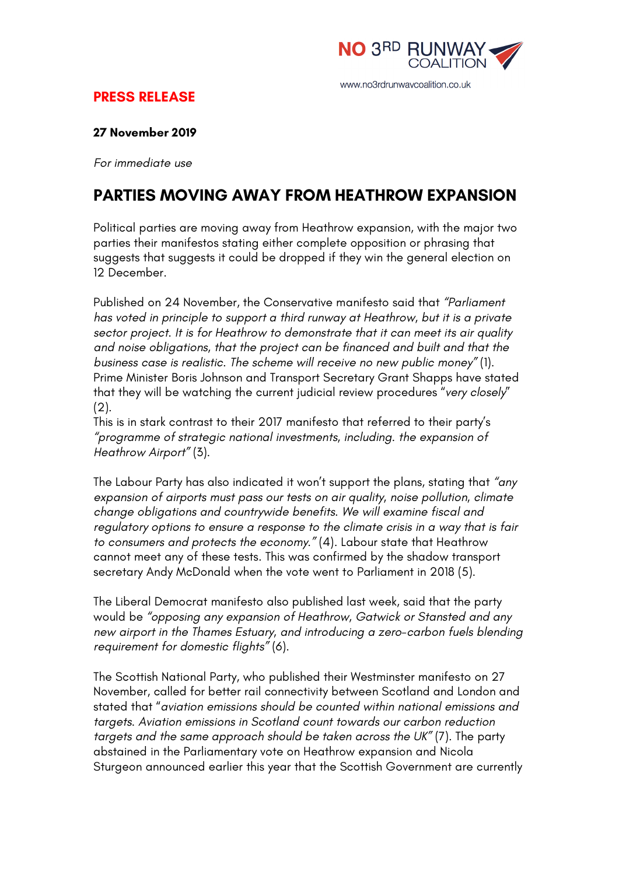

## **PRESS RELEASE**

#### **27 November 2019**

*For immediate use*

# **PARTIES MOVING AWAY FROM HEATHROW EXPANSION**

Political parties are moving away from Heathrow expansion, with the major two parties their manifestos stating either complete opposition or phrasing that suggests that suggests it could be dropped if they win the general election on 12 December.

Published on 24 November, the Conservative manifesto said that *"Parliament has voted in principle to support a third runway at Heathrow, but it is a private sector project. It is for Heathrow to demonstrate that it can meet its air quality and noise obligations, that the project can be financed and built and that the business case is realistic. The scheme will receive no new public money"* (1). Prime Minister Boris Johnson and Transport Secretary Grant Shapps have stated that they will be watching the current judicial review procedures "*very closely*" (2).

This is in stark contrast to their 2017 manifesto that referred to their party's *"programme of strategic national investments, including. the expansion of Heathrow Airport"* (3).

The Labour Party has also indicated it won't support the plans, stating that *"any expansion of airports must pass our tests on air quality, noise pollution, climate change obligations and countrywide benefits. We will examine fiscal and regulatory options to ensure a response to the climate crisis in a way that is fair to consumers and protects the economy."* (4). Labour state that Heathrow cannot meet any of these tests. This was confirmed by the shadow transport secretary Andy McDonald when the vote went to Parliament in 2018 (5).

The Liberal Democrat manifesto also published last week, said that the party would be *"opposing any expansion of Heathrow, Gatwick or Stansted and any new airport in the Thames Estuary, and introducing a zero-carbon fuels blending requirement for domestic flights"* (6).

The Scottish National Party, who published their Westminster manifesto on 27 November, called for better rail connectivity between Scotland and London and stated that "*aviation emissions should be counted within national emissions and targets. Aviation emissions in Scotland count towards our carbon reduction targets and the same approach should be taken across the UK"* (7). The party abstained in the Parliamentary vote on Heathrow expansion and Nicola Sturgeon announced earlier this year that the Scottish Government are currently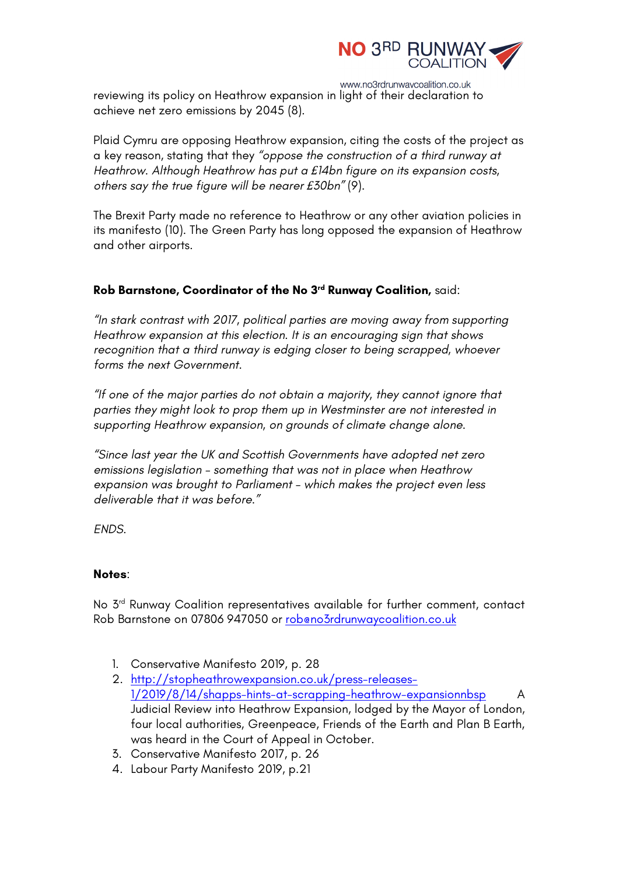

www.no3rdrunwaycoalition.co.uk reviewing its policy on Heathrow expansion in light of their declaration to achieve net zero emissions by 2045 (8).

Plaid Cymru are opposing Heathrow expansion, citing the costs of the project as a key reason, stating that they *"oppose the construction of a third runway at Heathrow. Although Heathrow has put a £14bn figure on its expansion costs, others say the true figure will be nearer £30bn"* (9).

The Brexit Party made no reference to Heathrow or any other aviation policies in its manifesto (10). The Green Party has long opposed the expansion of Heathrow and other airports.

### **Rob Barnstone, Coordinator of the No 3rd Runway Coalition,** said:

*"In stark contrast with 2017, political parties are moving away from supporting Heathrow expansion at this election. It is an encouraging sign that shows recognition that a third runway is edging closer to being scrapped, whoever forms the next Government.*

*"If one of the major parties do not obtain a majority, they cannot ignore that parties they might look to prop them up in Westminster are not interested in supporting Heathrow expansion, on grounds of climate change alone.*

*"Since last year the UK and Scottish Governments have adopted net zero emissions legislation – something that was not in place when Heathrow expansion was brought to Parliament – which makes the project even less deliverable that it was before."*

*ENDS.*

### **Notes**:

No 3<sup>rd</sup> Runway Coalition representatives available for further comment, contact Rob Barnstone on 07806 947050 or rob@no3rdrunwaycoalition.co.uk

- 1. Conservative Manifesto 2019, p. 28
- 2. http://stopheathrowexpansion.co.uk/press-releases-1/2019/8/14/shapps-hints-at-scrapping-heathrow-expansionnbsp A Judicial Review into Heathrow Expansion, lodged by the Mayor of London, four local authorities, Greenpeace, Friends of the Earth and Plan B Earth, was heard in the Court of Appeal in October.
- 3. Conservative Manifesto 2017, p. 26
- 4. Labour Party Manifesto 2019, p.21